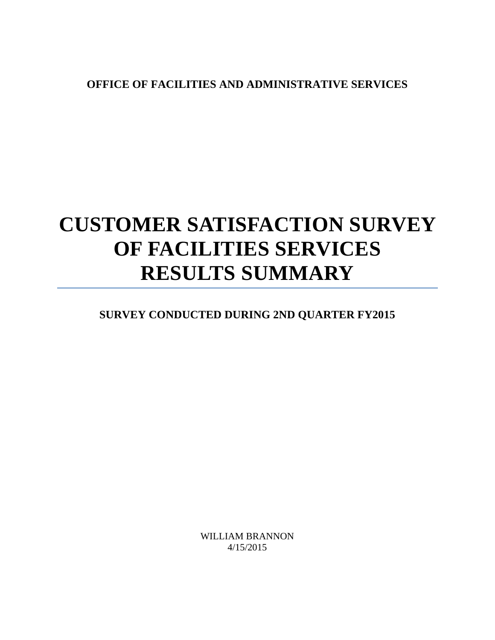# **OFFICE OF FACILITIES AND ADMINISTRATIVE SERVICES**

# **CUSTOMER SATISFACTION SURVEY OF FACILITIES SERVICES RESULTS SUMMARY**

# **SURVEY CONDUCTED DURING 2ND QUARTER FY2015**

WILLIAM BRANNON 4/15/2015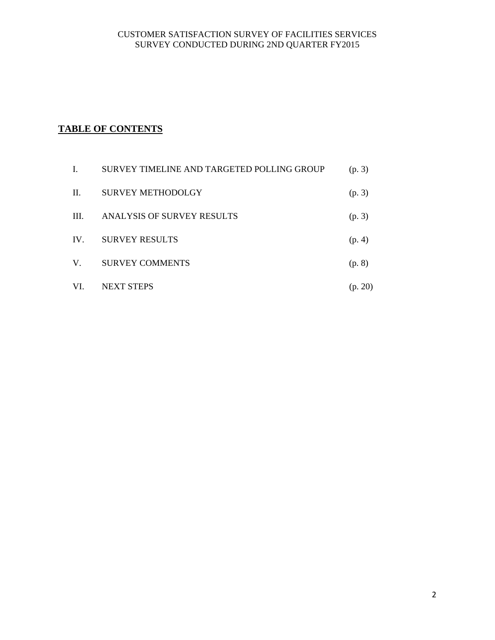## **TABLE OF CONTENTS**

| L    | SURVEY TIMELINE AND TARGETED POLLING GROUP | (p. 3)  |
|------|--------------------------------------------|---------|
| II.  | SURVEY METHODOLGY                          | (p. 3)  |
| III. | ANALYSIS OF SURVEY RESULTS                 | (p. 3)  |
| IV.  | <b>SURVEY RESULTS</b>                      | (p. 4)  |
| V.   | <b>SURVEY COMMENTS</b>                     | (p. 8)  |
| VI.  | <b>NEXT STEPS</b>                          | (p. 20) |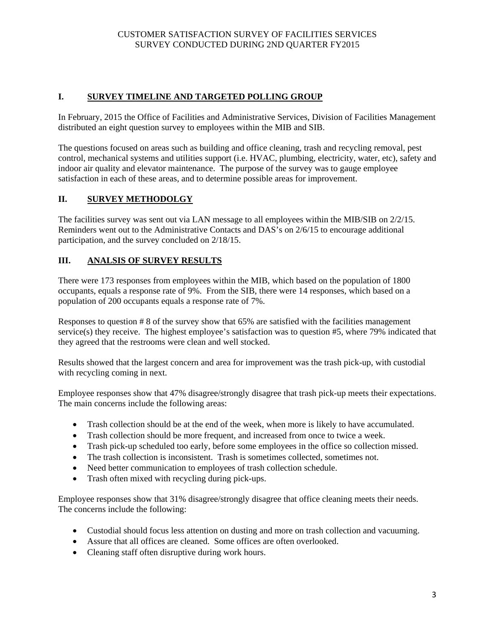## **I. SURVEY TIMELINE AND TARGETED POLLING GROUP**

In February, 2015 the Office of Facilities and Administrative Services, Division of Facilities Management distributed an eight question survey to employees within the MIB and SIB.

The questions focused on areas such as building and office cleaning, trash and recycling removal, pest control, mechanical systems and utilities support (i.e. HVAC, plumbing, electricity, water, etc), safety and indoor air quality and elevator maintenance. The purpose of the survey was to gauge employee satisfaction in each of these areas, and to determine possible areas for improvement.

## **II. SURVEY METHODOLGY**

The facilities survey was sent out via LAN message to all employees within the MIB/SIB on 2/2/15. Reminders went out to the Administrative Contacts and DAS's on 2/6/15 to encourage additional participation, and the survey concluded on 2/18/15.

## **III. ANALSIS OF SURVEY RESULTS**

There were 173 responses from employees within the MIB, which based on the population of 1800 occupants, equals a response rate of 9%. From the SIB, there were 14 responses, which based on a population of 200 occupants equals a response rate of 7%.

Responses to question # 8 of the survey show that 65% are satisfied with the facilities management service(s) they receive. The highest employee's satisfaction was to question #5, where 79% indicated that they agreed that the restrooms were clean and well stocked.

Results showed that the largest concern and area for improvement was the trash pick-up, with custodial with recycling coming in next.

Employee responses show that 47% disagree/strongly disagree that trash pick-up meets their expectations. The main concerns include the following areas:

- Trash collection should be at the end of the week, when more is likely to have accumulated.
- Trash collection should be more frequent, and increased from once to twice a week.
- Trash pick-up scheduled too early, before some employees in the office so collection missed.
- The trash collection is inconsistent. Trash is sometimes collected, sometimes not.
- Need better communication to employees of trash collection schedule.
- Trash often mixed with recycling during pick-ups.

Employee responses show that 31% disagree/strongly disagree that office cleaning meets their needs. The concerns include the following:

- Custodial should focus less attention on dusting and more on trash collection and vacuuming.
- Assure that all offices are cleaned. Some offices are often overlooked.
- Cleaning staff often disruptive during work hours.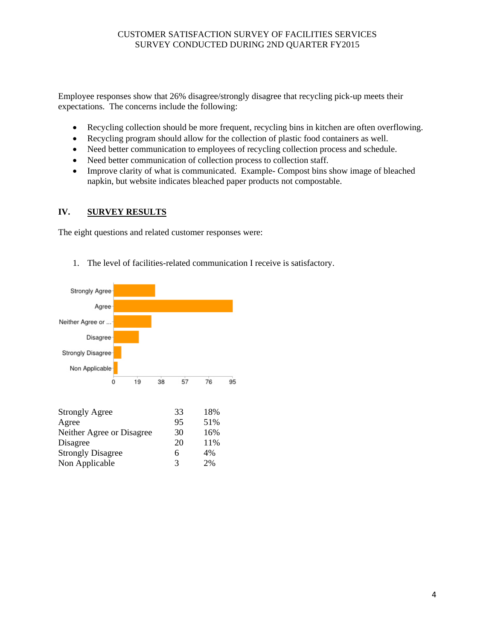Employee responses show that 26% disagree/strongly disagree that recycling pick-up meets their expectations. The concerns include the following:

- Recycling collection should be more frequent, recycling bins in kitchen are often overflowing.
- Recycling program should allow for the collection of plastic food containers as well.
- Need better communication to employees of recycling collection process and schedule.
- Need better communication of collection process to collection staff.
- Improve clarity of what is communicated. Example- Compost bins show image of bleached napkin, but website indicates bleached paper products not compostable.

## **IV. SURVEY RESULTS**

The eight questions and related customer responses were:

1. The level of facilities-related communication I receive is satisfactory.

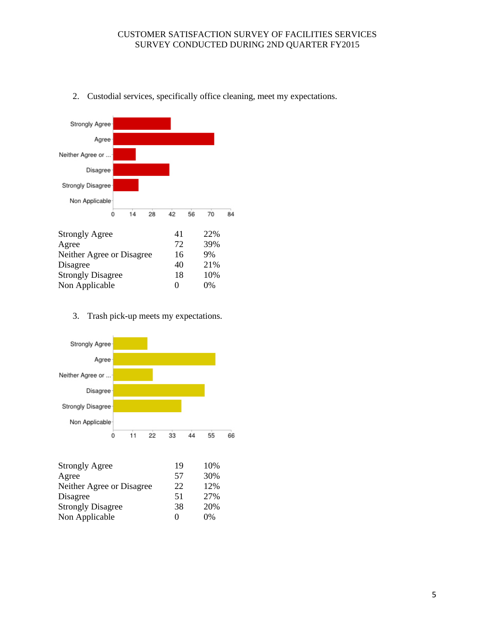2. Custodial services, specifically office cleaning, meet my expectations.



3. Trash pick-up meets my expectations.

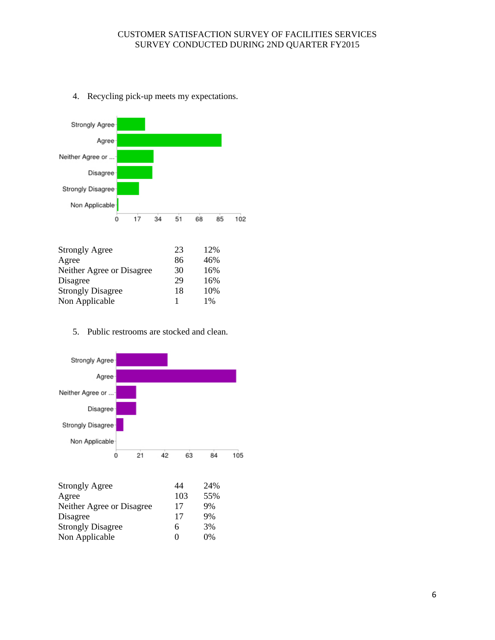4. Recycling pick-up meets my expectations.



## 5. Public restrooms are stocked and clean.

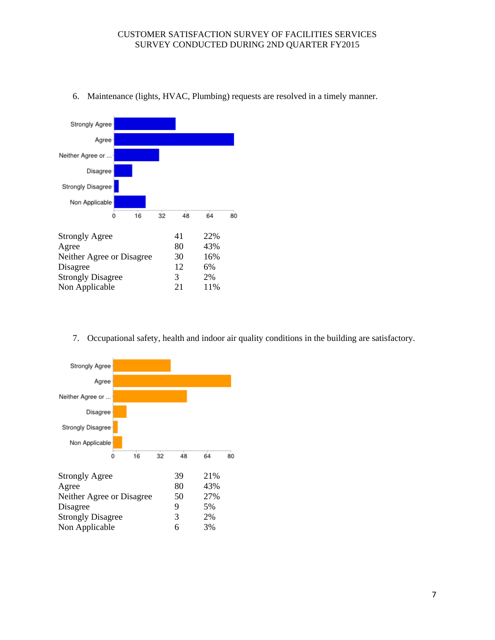

6. Maintenance (lights, HVAC, Plumbing) requests are resolved in a timely manner.

7. Occupational safety, health and indoor air quality conditions in the building are satisfactory.

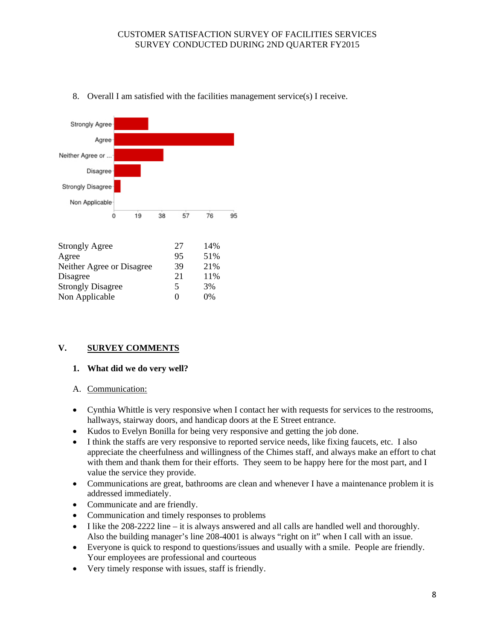

8. Overall I am satisfied with the facilities management service(s) I receive.

## **V. SURVEY COMMENTS**

#### **1. What did we do very well?**

- A. Communication:
- Cynthia Whittle is very responsive when I contact her with requests for services to the restrooms, hallways, stairway doors, and handicap doors at the E Street entrance.
- Kudos to Evelyn Bonilla for being very responsive and getting the job done.
- I think the staffs are very responsive to reported service needs, like fixing faucets, etc. I also appreciate the cheerfulness and willingness of the Chimes staff, and always make an effort to chat with them and thank them for their efforts. They seem to be happy here for the most part, and I value the service they provide.
- Communications are great, bathrooms are clean and whenever I have a maintenance problem it is addressed immediately.
- Communicate and are friendly.
- Communication and timely responses to problems
- I like the  $208-2222$  line it is always answered and all calls are handled well and thoroughly. Also the building manager's line 208-4001 is always "right on it" when I call with an issue.
- Everyone is quick to respond to questions/issues and usually with a smile. People are friendly. Your employees are professional and courteous
- Very timely response with issues, staff is friendly.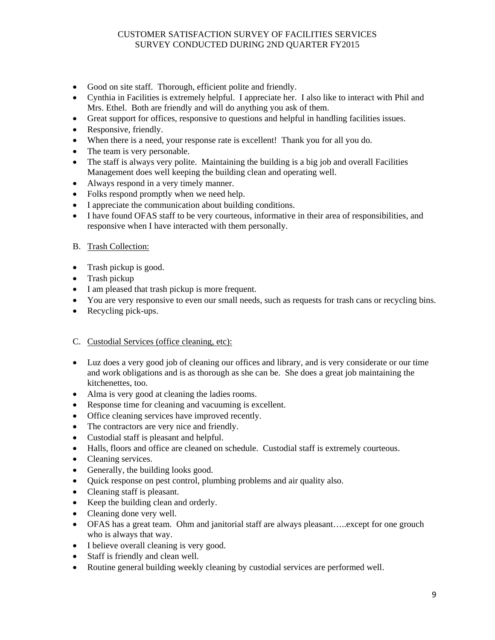- Good on site staff. Thorough, efficient polite and friendly.
- Cynthia in Facilities is extremely helpful. I appreciate her. I also like to interact with Phil and Mrs. Ethel. Both are friendly and will do anything you ask of them.
- Great support for offices, responsive to questions and helpful in handling facilities issues.
- Responsive, friendly.
- When there is a need, your response rate is excellent! Thank you for all you do.
- The team is very personable.
- The staff is always very polite. Maintaining the building is a big job and overall Facilities Management does well keeping the building clean and operating well.
- Always respond in a very timely manner.
- Folks respond promptly when we need help.
- I appreciate the communication about building conditions.
- I have found OFAS staff to be very courteous, informative in their area of responsibilities, and responsive when I have interacted with them personally.

#### B. Trash Collection:

- Trash pickup is good.
- Trash pickup
- I am pleased that trash pickup is more frequent.
- You are very responsive to even our small needs, such as requests for trash cans or recycling bins.
- Recycling pick-ups.

#### C. Custodial Services (office cleaning, etc):

- Luz does a very good job of cleaning our offices and library, and is very considerate or our time and work obligations and is as thorough as she can be. She does a great job maintaining the kitchenettes, too.
- Alma is very good at cleaning the ladies rooms.
- Response time for cleaning and vacuuming is excellent.
- Office cleaning services have improved recently.
- The contractors are very nice and friendly.
- Custodial staff is pleasant and helpful.
- Halls, floors and office are cleaned on schedule. Custodial staff is extremely courteous.
- Cleaning services.
- Generally, the building looks good.
- Quick response on pest control, plumbing problems and air quality also.
- Cleaning staff is pleasant.
- Keep the building clean and orderly.
- Cleaning done very well.
- OFAS has a great team. Ohm and janitorial staff are always pleasant…..except for one grouch who is always that way.
- I believe overall cleaning is very good.
- Staff is friendly and clean well.
- Routine general building weekly cleaning by custodial services are performed well.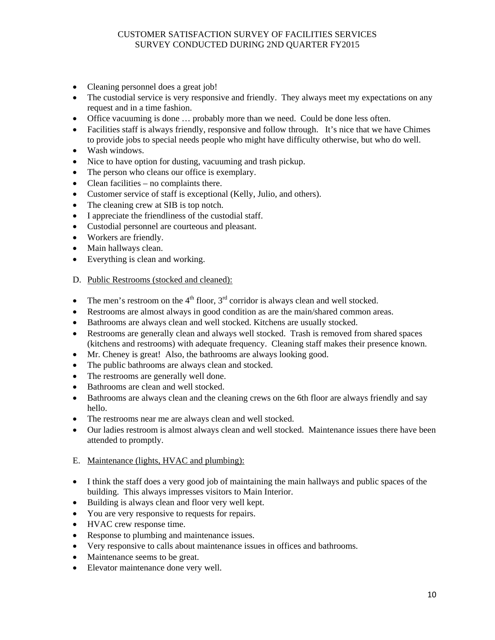- Cleaning personnel does a great job!
- The custodial service is very responsive and friendly. They always meet my expectations on any request and in a time fashion.
- Office vacuuming is done … probably more than we need. Could be done less often.
- Facilities staff is always friendly, responsive and follow through. It's nice that we have Chimes to provide jobs to special needs people who might have difficulty otherwise, but who do well.
- Wash windows.
- Nice to have option for dusting, vacuuming and trash pickup.
- The person who cleans our office is exemplary.
- Clean facilities no complaints there.
- Customer service of staff is exceptional (Kelly, Julio, and others).
- The cleaning crew at SIB is top notch.
- I appreciate the friendliness of the custodial staff.
- Custodial personnel are courteous and pleasant.
- Workers are friendly.
- Main hallways clean.
- Everything is clean and working.

#### D. Public Restrooms (stocked and cleaned):

- The men's restroom on the  $4<sup>th</sup>$  floor,  $3<sup>rd</sup>$  corridor is always clean and well stocked.
- Restrooms are almost always in good condition as are the main/shared common areas.
- Bathrooms are always clean and well stocked. Kitchens are usually stocked.
- Restrooms are generally clean and always well stocked. Trash is removed from shared spaces (kitchens and restrooms) with adequate frequency. Cleaning staff makes their presence known.
- Mr. Cheney is great! Also, the bathrooms are always looking good.
- The public bathrooms are always clean and stocked.
- The restrooms are generally well done.
- Bathrooms are clean and well stocked.
- Bathrooms are always clean and the cleaning crews on the 6th floor are always friendly and say hello.
- The restrooms near me are always clean and well stocked.
- Our ladies restroom is almost always clean and well stocked. Maintenance issues there have been attended to promptly.

#### E. Maintenance (lights, HVAC and plumbing):

- I think the staff does a very good job of maintaining the main hallways and public spaces of the building. This always impresses visitors to Main Interior.
- Building is always clean and floor very well kept.
- You are very responsive to requests for repairs.
- HVAC crew response time.
- Response to plumbing and maintenance issues.
- Very responsive to calls about maintenance issues in offices and bathrooms.
- Maintenance seems to be great.
- Elevator maintenance done very well.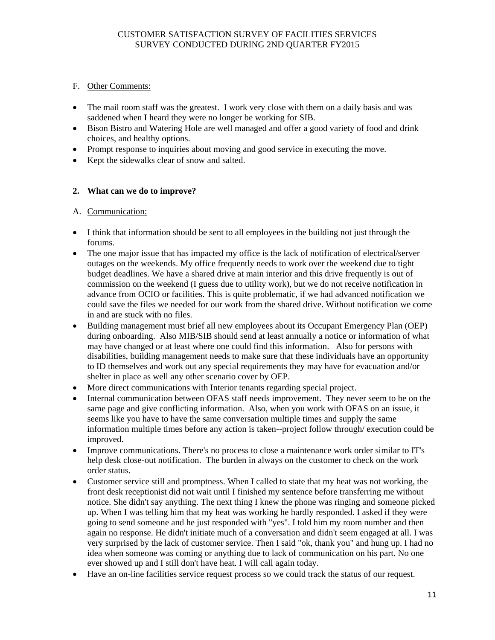## F. Other Comments:

- The mail room staff was the greatest. I work very close with them on a daily basis and was saddened when I heard they were no longer be working for SIB.
- Bison Bistro and Watering Hole are well managed and offer a good variety of food and drink choices, and healthy options.
- Prompt response to inquiries about moving and good service in executing the move.
- Kept the sidewalks clear of snow and salted.

## **2. What can we do to improve?**

## A. Communication:

- I think that information should be sent to all employees in the building not just through the forums.
- The one major issue that has impacted my office is the lack of notification of electrical/server outages on the weekends. My office frequently needs to work over the weekend due to tight budget deadlines. We have a shared drive at main interior and this drive frequently is out of commission on the weekend (I guess due to utility work), but we do not receive notification in advance from OCIO or facilities. This is quite problematic, if we had advanced notification we could save the files we needed for our work from the shared drive. Without notification we come in and are stuck with no files.
- Building management must brief all new employees about its Occupant Emergency Plan (OEP) during onboarding. Also MIB/SIB should send at least annually a notice or information of what may have changed or at least where one could find this information. Also for persons with disabilities, building management needs to make sure that these individuals have an opportunity to ID themselves and work out any special requirements they may have for evacuation and/or shelter in place as well any other scenario cover by OEP.
- More direct communications with Interior tenants regarding special project.
- Internal communication between OFAS staff needs improvement. They never seem to be on the same page and give conflicting information. Also, when you work with OFAS on an issue, it seems like you have to have the same conversation multiple times and supply the same information multiple times before any action is taken--project follow through/ execution could be improved.
- Improve communications. There's no process to close a maintenance work order similar to IT's help desk close-out notification. The burden in always on the customer to check on the work order status.
- Customer service still and promptness. When I called to state that my heat was not working, the front desk receptionist did not wait until I finished my sentence before transferring me without notice. She didn't say anything. The next thing I knew the phone was ringing and someone picked up. When I was telling him that my heat was working he hardly responded. I asked if they were going to send someone and he just responded with "yes". I told him my room number and then again no response. He didn't initiate much of a conversation and didn't seem engaged at all. I was very surprised by the lack of customer service. Then I said "ok, thank you" and hung up. I had no idea when someone was coming or anything due to lack of communication on his part. No one ever showed up and I still don't have heat. I will call again today.
- Have an on-line facilities service request process so we could track the status of our request.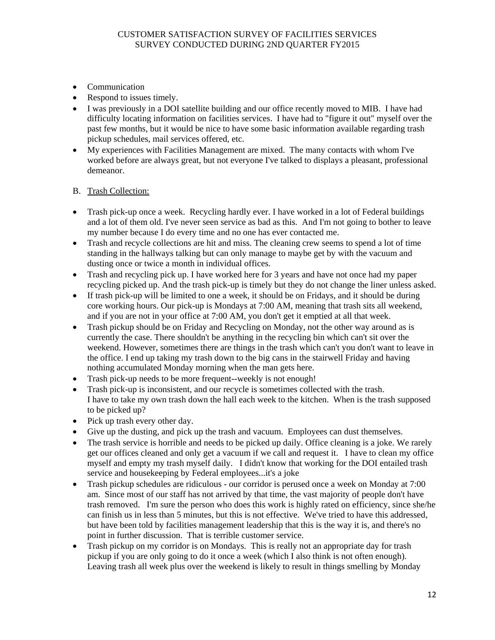- Communication
- Respond to issues timely.
- I was previously in a DOI satellite building and our office recently moved to MIB. I have had difficulty locating information on facilities services. I have had to "figure it out" myself over the past few months, but it would be nice to have some basic information available regarding trash pickup schedules, mail services offered, etc.
- My experiences with Facilities Management are mixed. The many contacts with whom I've worked before are always great, but not everyone I've talked to displays a pleasant, professional demeanor.

## B. Trash Collection:

- Trash pick-up once a week. Recycling hardly ever. I have worked in a lot of Federal buildings and a lot of them old. I've never seen service as bad as this. And I'm not going to bother to leave my number because I do every time and no one has ever contacted me.
- Trash and recycle collections are hit and miss. The cleaning crew seems to spend a lot of time standing in the hallways talking but can only manage to maybe get by with the vacuum and dusting once or twice a month in individual offices.
- Trash and recycling pick up. I have worked here for 3 years and have not once had my paper recycling picked up. And the trash pick-up is timely but they do not change the liner unless asked.
- If trash pick-up will be limited to one a week, it should be on Fridays, and it should be during core working hours. Our pick-up is Mondays at 7:00 AM, meaning that trash sits all weekend, and if you are not in your office at 7:00 AM, you don't get it emptied at all that week.
- Trash pickup should be on Friday and Recycling on Monday, not the other way around as is currently the case. There shouldn't be anything in the recycling bin which can't sit over the weekend. However, sometimes there are things in the trash which can't you don't want to leave in the office. I end up taking my trash down to the big cans in the stairwell Friday and having nothing accumulated Monday morning when the man gets here.
- Trash pick-up needs to be more frequent--weekly is not enough!
- Trash pick-up is inconsistent, and our recycle is sometimes collected with the trash. I have to take my own trash down the hall each week to the kitchen. When is the trash supposed to be picked up?
- Pick up trash every other day.
- Give up the dusting, and pick up the trash and vacuum. Employees can dust themselves.
- The trash service is horrible and needs to be picked up daily. Office cleaning is a joke. We rarely get our offices cleaned and only get a vacuum if we call and request it. I have to clean my office myself and empty my trash myself daily. I didn't know that working for the DOI entailed trash service and housekeeping by Federal employees...it's a joke
- Trash pickup schedules are ridiculous our corridor is perused once a week on Monday at 7:00 am. Since most of our staff has not arrived by that time, the vast majority of people don't have trash removed. I'm sure the person who does this work is highly rated on efficiency, since she/he can finish us in less than 5 minutes, but this is not effective. We've tried to have this addressed, but have been told by facilities management leadership that this is the way it is, and there's no point in further discussion. That is terrible customer service.
- Trash pickup on my corridor is on Mondays. This is really not an appropriate day for trash pickup if you are only going to do it once a week (which I also think is not often enough). Leaving trash all week plus over the weekend is likely to result in things smelling by Monday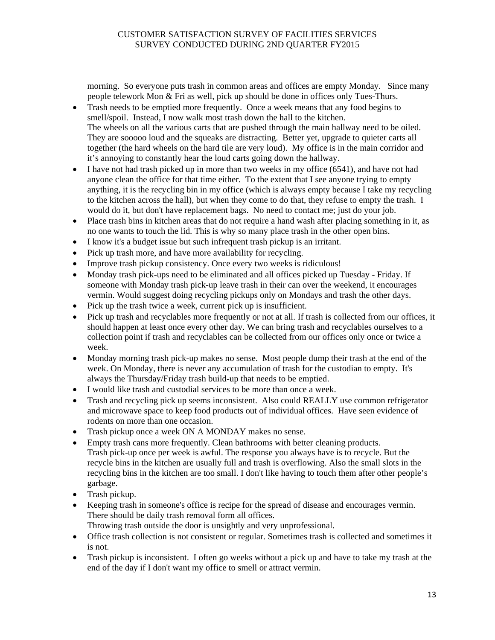morning. So everyone puts trash in common areas and offices are empty Monday. Since many people telework Mon & Fri as well, pick up should be done in offices only Tues-Thurs.

- Trash needs to be emptied more frequently. Once a week means that any food begins to smell/spoil. Instead, I now walk most trash down the hall to the kitchen. The wheels on all the various carts that are pushed through the main hallway need to be oiled. They are sooooo loud and the squeaks are distracting. Better yet, upgrade to quieter carts all together (the hard wheels on the hard tile are very loud). My office is in the main corridor and it's annoying to constantly hear the loud carts going down the hallway.
- I have not had trash picked up in more than two weeks in my office (6541), and have not had anyone clean the office for that time either. To the extent that I see anyone trying to empty anything, it is the recycling bin in my office (which is always empty because I take my recycling to the kitchen across the hall), but when they come to do that, they refuse to empty the trash. I would do it, but don't have replacement bags. No need to contact me; just do your job.
- Place trash bins in kitchen areas that do not require a hand wash after placing something in it, as no one wants to touch the lid. This is why so many place trash in the other open bins.
- I know it's a budget issue but such infrequent trash pickup is an irritant.
- Pick up trash more, and have more availability for recycling.
- Improve trash pickup consistency. Once every two weeks is ridiculous!
- Monday trash pick-ups need to be eliminated and all offices picked up Tuesday Friday. If someone with Monday trash pick-up leave trash in their can over the weekend, it encourages vermin. Would suggest doing recycling pickups only on Mondays and trash the other days.
- Pick up the trash twice a week, current pick up is insufficient.
- Pick up trash and recyclables more frequently or not at all. If trash is collected from our offices, it should happen at least once every other day. We can bring trash and recyclables ourselves to a collection point if trash and recyclables can be collected from our offices only once or twice a week.
- Monday morning trash pick-up makes no sense. Most people dump their trash at the end of the week. On Monday, there is never any accumulation of trash for the custodian to empty. It's always the Thursday/Friday trash build-up that needs to be emptied.
- I would like trash and custodial services to be more than once a week.
- Trash and recycling pick up seems inconsistent. Also could REALLY use common refrigerator and microwave space to keep food products out of individual offices. Have seen evidence of rodents on more than one occasion.
- Trash pickup once a week ON A MONDAY makes no sense.
- Empty trash cans more frequently. Clean bathrooms with better cleaning products. Trash pick-up once per week is awful. The response you always have is to recycle. But the recycle bins in the kitchen are usually full and trash is overflowing. Also the small slots in the recycling bins in the kitchen are too small. I don't like having to touch them after other people's garbage.
- Trash pickup.
- Keeping trash in someone's office is recipe for the spread of disease and encourages vermin. There should be daily trash removal form all offices. Throwing trash outside the door is unsightly and very unprofessional.
- Office trash collection is not consistent or regular. Sometimes trash is collected and sometimes it is not.
- Trash pickup is inconsistent. I often go weeks without a pick up and have to take my trash at the end of the day if I don't want my office to smell or attract vermin.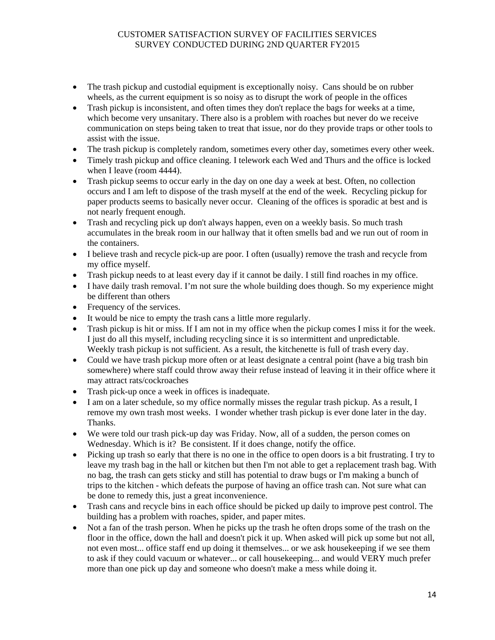- The trash pickup and custodial equipment is exceptionally noisy. Cans should be on rubber wheels, as the current equipment is so noisy as to disrupt the work of people in the offices
- Trash pickup is inconsistent, and often times they don't replace the bags for weeks at a time, which become very unsanitary. There also is a problem with roaches but never do we receive communication on steps being taken to treat that issue, nor do they provide traps or other tools to assist with the issue.
- The trash pickup is completely random, sometimes every other day, sometimes every other week.
- Timely trash pickup and office cleaning. I telework each Wed and Thurs and the office is locked when I leave (room 4444).
- Trash pickup seems to occur early in the day on one day a week at best. Often, no collection occurs and I am left to dispose of the trash myself at the end of the week. Recycling pickup for paper products seems to basically never occur. Cleaning of the offices is sporadic at best and is not nearly frequent enough.
- Trash and recycling pick up don't always happen, even on a weekly basis. So much trash accumulates in the break room in our hallway that it often smells bad and we run out of room in the containers.
- I believe trash and recycle pick-up are poor. I often (usually) remove the trash and recycle from my office myself.
- Trash pickup needs to at least every day if it cannot be daily. I still find roaches in my office.
- I have daily trash removal. I'm not sure the whole building does though. So my experience might be different than others
- Frequency of the services.
- It would be nice to empty the trash cans a little more regularly.
- Trash pickup is hit or miss. If I am not in my office when the pickup comes I miss it for the week. I just do all this myself, including recycling since it is so intermittent and unpredictable. Weekly trash pickup is not sufficient. As a result, the kitchenette is full of trash every day.
- Could we have trash pickup more often or at least designate a central point (have a big trash bin somewhere) where staff could throw away their refuse instead of leaving it in their office where it may attract rats/cockroaches
- Trash pick-up once a week in offices is inadequate.
- I am on a later schedule, so my office normally misses the regular trash pickup. As a result, I remove my own trash most weeks. I wonder whether trash pickup is ever done later in the day. Thanks.
- We were told our trash pick-up day was Friday. Now, all of a sudden, the person comes on Wednesday. Which is it? Be consistent. If it does change, notify the office.
- Picking up trash so early that there is no one in the office to open doors is a bit frustrating. I try to leave my trash bag in the hall or kitchen but then I'm not able to get a replacement trash bag. With no bag, the trash can gets sticky and still has potential to draw bugs or I'm making a bunch of trips to the kitchen - which defeats the purpose of having an office trash can. Not sure what can be done to remedy this, just a great inconvenience.
- Trash cans and recycle bins in each office should be picked up daily to improve pest control. The building has a problem with roaches, spider, and paper mites.
- Not a fan of the trash person. When he picks up the trash he often drops some of the trash on the floor in the office, down the hall and doesn't pick it up. When asked will pick up some but not all, not even most... office staff end up doing it themselves... or we ask housekeeping if we see them to ask if they could vacuum or whatever... or call housekeeping... and would VERY much prefer more than one pick up day and someone who doesn't make a mess while doing it.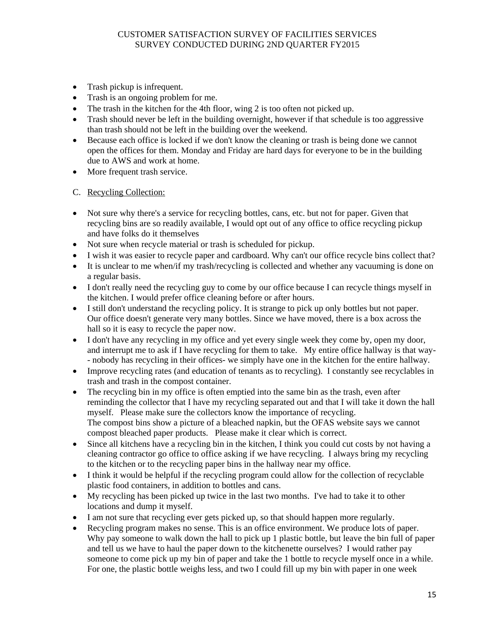- Trash pickup is infrequent.
- Trash is an ongoing problem for me.
- The trash in the kitchen for the 4th floor, wing 2 is too often not picked up.
- Trash should never be left in the building overnight, however if that schedule is too aggressive than trash should not be left in the building over the weekend.
- Because each office is locked if we don't know the cleaning or trash is being done we cannot open the offices for them. Monday and Friday are hard days for everyone to be in the building due to AWS and work at home.
- More frequent trash service.
- C. Recycling Collection:
- Not sure why there's a service for recycling bottles, cans, etc. but not for paper. Given that recycling bins are so readily available, I would opt out of any office to office recycling pickup and have folks do it themselves
- Not sure when recycle material or trash is scheduled for pickup.
- I wish it was easier to recycle paper and cardboard. Why can't our office recycle bins collect that?
- It is unclear to me when/if my trash/recycling is collected and whether any vacuuming is done on a regular basis.
- I don't really need the recycling guy to come by our office because I can recycle things myself in the kitchen. I would prefer office cleaning before or after hours.
- I still don't understand the recycling policy. It is strange to pick up only bottles but not paper. Our office doesn't generate very many bottles. Since we have moved, there is a box across the hall so it is easy to recycle the paper now.
- I don't have any recycling in my office and yet every single week they come by, open my door, and interrupt me to ask if I have recycling for them to take. My entire office hallway is that way- - nobody has recycling in their offices- we simply have one in the kitchen for the entire hallway.
- Improve recycling rates (and education of tenants as to recycling). I constantly see recyclables in trash and trash in the compost container.
- The recycling bin in my office is often emptied into the same bin as the trash, even after reminding the collector that I have my recycling separated out and that I will take it down the hall myself. Please make sure the collectors know the importance of recycling. The compost bins show a picture of a bleached napkin, but the OFAS website says we cannot compost bleached paper products. Please make it clear which is correct.
- Since all kitchens have a recycling bin in the kitchen, I think you could cut costs by not having a cleaning contractor go office to office asking if we have recycling. I always bring my recycling to the kitchen or to the recycling paper bins in the hallway near my office.
- I think it would be helpful if the recycling program could allow for the collection of recyclable plastic food containers, in addition to bottles and cans.
- My recycling has been picked up twice in the last two months. I've had to take it to other locations and dump it myself.
- I am not sure that recycling ever gets picked up, so that should happen more regularly.
- Recycling program makes no sense. This is an office environment. We produce lots of paper. Why pay someone to walk down the hall to pick up 1 plastic bottle, but leave the bin full of paper and tell us we have to haul the paper down to the kitchenette ourselves? I would rather pay someone to come pick up my bin of paper and take the 1 bottle to recycle myself once in a while. For one, the plastic bottle weighs less, and two I could fill up my bin with paper in one week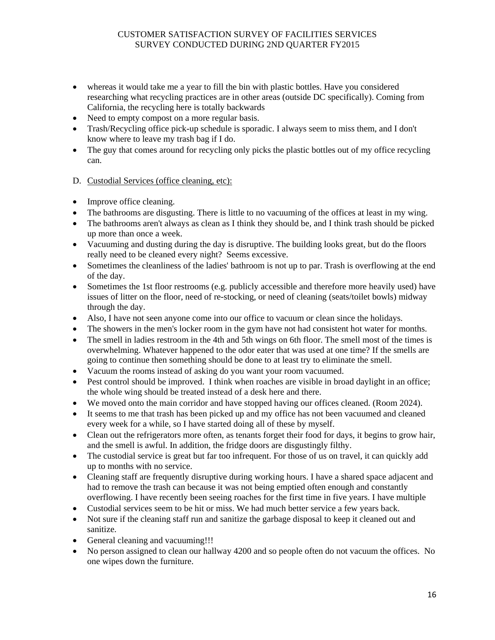- whereas it would take me a year to fill the bin with plastic bottles. Have you considered researching what recycling practices are in other areas (outside DC specifically). Coming from California, the recycling here is totally backwards
- Need to empty compost on a more regular basis.
- Trash/Recycling office pick-up schedule is sporadic. I always seem to miss them, and I don't know where to leave my trash bag if I do.
- The guy that comes around for recycling only picks the plastic bottles out of my office recycling can.
- D. Custodial Services (office cleaning, etc):
- Improve office cleaning.
- The bathrooms are disgusting. There is little to no vacuuming of the offices at least in my wing.
- The bathrooms aren't always as clean as I think they should be, and I think trash should be picked up more than once a week.
- Vacuuming and dusting during the day is disruptive. The building looks great, but do the floors really need to be cleaned every night? Seems excessive.
- Sometimes the cleanliness of the ladies' bathroom is not up to par. Trash is overflowing at the end of the day.
- Sometimes the 1st floor restrooms (e.g. publicly accessible and therefore more heavily used) have issues of litter on the floor, need of re-stocking, or need of cleaning (seats/toilet bowls) midway through the day.
- Also, I have not seen anyone come into our office to vacuum or clean since the holidays.
- The showers in the men's locker room in the gym have not had consistent hot water for months.
- The smell in ladies restroom in the 4th and 5th wings on 6th floor. The smell most of the times is overwhelming. Whatever happened to the odor eater that was used at one time? If the smells are going to continue then something should be done to at least try to eliminate the smell.
- Vacuum the rooms instead of asking do you want your room vacuumed.
- Pest control should be improved. I think when roaches are visible in broad daylight in an office; the whole wing should be treated instead of a desk here and there.
- We moved onto the main corridor and have stopped having our offices cleaned. (Room 2024).
- It seems to me that trash has been picked up and my office has not been vacuumed and cleaned every week for a while, so I have started doing all of these by myself.
- Clean out the refrigerators more often, as tenants forget their food for days, it begins to grow hair, and the smell is awful. In addition, the fridge doors are disgustingly filthy.
- The custodial service is great but far too infrequent. For those of us on travel, it can quickly add up to months with no service.
- Cleaning staff are frequently disruptive during working hours. I have a shared space adjacent and had to remove the trash can because it was not being emptied often enough and constantly overflowing. I have recently been seeing roaches for the first time in five years. I have multiple
- Custodial services seem to be hit or miss. We had much better service a few years back.
- Not sure if the cleaning staff run and sanitize the garbage disposal to keep it cleaned out and sanitize.
- General cleaning and vacuuming!!!
- No person assigned to clean our hallway 4200 and so people often do not vacuum the offices. No one wipes down the furniture.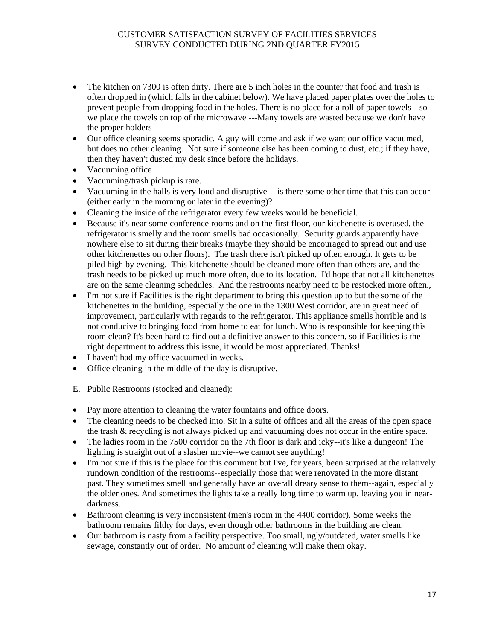- The kitchen on 7300 is often dirty. There are 5 inch holes in the counter that food and trash is often dropped in (which falls in the cabinet below). We have placed paper plates over the holes to prevent people from dropping food in the holes. There is no place for a roll of paper towels --so we place the towels on top of the microwave ---Many towels are wasted because we don't have the proper holders
- Our office cleaning seems sporadic. A guy will come and ask if we want our office vacuumed, but does no other cleaning. Not sure if someone else has been coming to dust, etc.; if they have, then they haven't dusted my desk since before the holidays.
- Vacuuming office
- Vacuuming/trash pickup is rare.
- Vacuuming in the halls is very loud and disruptive -- is there some other time that this can occur (either early in the morning or later in the evening)?
- Cleaning the inside of the refrigerator every few weeks would be beneficial.
- Because it's near some conference rooms and on the first floor, our kitchenette is overused, the refrigerator is smelly and the room smells bad occasionally. Security guards apparently have nowhere else to sit during their breaks (maybe they should be encouraged to spread out and use other kitchenettes on other floors). The trash there isn't picked up often enough. It gets to be piled high by evening. This kitchenette should be cleaned more often than others are, and the trash needs to be picked up much more often, due to its location. I'd hope that not all kitchenettes are on the same cleaning schedules. And the restrooms nearby need to be restocked more often.,
- I'm not sure if Facilities is the right department to bring this question up to but the some of the kitchenettes in the building, especially the one in the 1300 West corridor, are in great need of improvement, particularly with regards to the refrigerator. This appliance smells horrible and is not conducive to bringing food from home to eat for lunch. Who is responsible for keeping this room clean? It's been hard to find out a definitive answer to this concern, so if Facilities is the right department to address this issue, it would be most appreciated. Thanks!
- I haven't had my office vacuumed in weeks.
- Office cleaning in the middle of the day is disruptive.
- E. Public Restrooms (stocked and cleaned):
- Pay more attention to cleaning the water fountains and office doors.
- The cleaning needs to be checked into. Sit in a suite of offices and all the areas of the open space the trash & recycling is not always picked up and vacuuming does not occur in the entire space.
- The ladies room in the 7500 corridor on the 7th floor is dark and icky--it's like a dungeon! The lighting is straight out of a slasher movie--we cannot see anything!
- I'm not sure if this is the place for this comment but I've, for years, been surprised at the relatively rundown condition of the restrooms--especially those that were renovated in the more distant past. They sometimes smell and generally have an overall dreary sense to them--again, especially the older ones. And sometimes the lights take a really long time to warm up, leaving you in neardarkness.
- Bathroom cleaning is very inconsistent (men's room in the 4400 corridor). Some weeks the bathroom remains filthy for days, even though other bathrooms in the building are clean.
- Our bathroom is nasty from a facility perspective. Too small, ugly/outdated, water smells like sewage, constantly out of order. No amount of cleaning will make them okay.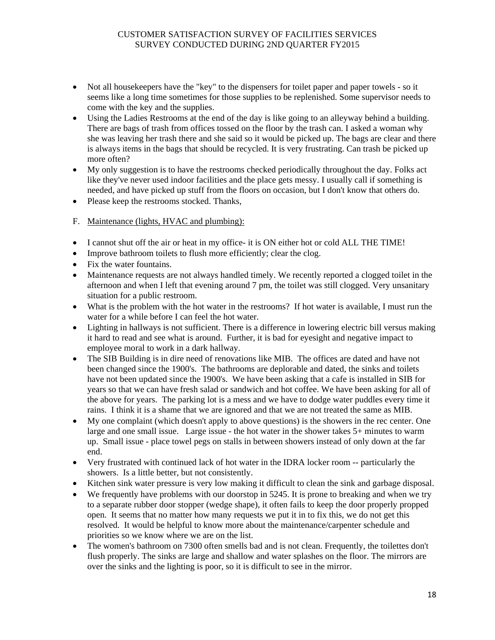- Not all housekeepers have the "key" to the dispensers for toilet paper and paper towels so it seems like a long time sometimes for those supplies to be replenished. Some supervisor needs to come with the key and the supplies.
- Using the Ladies Restrooms at the end of the day is like going to an alleyway behind a building. There are bags of trash from offices tossed on the floor by the trash can. I asked a woman why she was leaving her trash there and she said so it would be picked up. The bags are clear and there is always items in the bags that should be recycled. It is very frustrating. Can trash be picked up more often?
- My only suggestion is to have the restrooms checked periodically throughout the day. Folks act like they've never used indoor facilities and the place gets messy. I usually call if something is needed, and have picked up stuff from the floors on occasion, but I don't know that others do.
- Please keep the restrooms stocked. Thanks,
- F. Maintenance (lights, HVAC and plumbing):
- I cannot shut off the air or heat in my office- it is ON either hot or cold ALL THE TIME!
- Improve bathroom toilets to flush more efficiently; clear the clog.
- Fix the water fountains.
- Maintenance requests are not always handled timely. We recently reported a clogged toilet in the afternoon and when I left that evening around 7 pm, the toilet was still clogged. Very unsanitary situation for a public restroom.
- What is the problem with the hot water in the restrooms? If hot water is available, I must run the water for a while before I can feel the hot water.
- Lighting in hallways is not sufficient. There is a difference in lowering electric bill versus making it hard to read and see what is around. Further, it is bad for eyesight and negative impact to employee moral to work in a dark hallway.
- The SIB Building is in dire need of renovations like MIB. The offices are dated and have not been changed since the 1900's. The bathrooms are deplorable and dated, the sinks and toilets have not been updated since the 1900's. We have been asking that a cafe is installed in SIB for years so that we can have fresh salad or sandwich and hot coffee. We have been asking for all of the above for years. The parking lot is a mess and we have to dodge water puddles every time it rains. I think it is a shame that we are ignored and that we are not treated the same as MIB.
- My one complaint (which doesn't apply to above questions) is the showers in the rec center. One large and one small issue. Large issue - the hot water in the shower takes 5+ minutes to warm up. Small issue - place towel pegs on stalls in between showers instead of only down at the far end.
- Very frustrated with continued lack of hot water in the IDRA locker room -- particularly the showers. Is a little better, but not consistently.
- Kitchen sink water pressure is very low making it difficult to clean the sink and garbage disposal.
- We frequently have problems with our doorstop in 5245. It is prone to breaking and when we try to a separate rubber door stopper (wedge shape), it often fails to keep the door properly propped open. It seems that no matter how many requests we put it in to fix this, we do not get this resolved. It would be helpful to know more about the maintenance/carpenter schedule and priorities so we know where we are on the list.
- The women's bathroom on 7300 often smells bad and is not clean. Frequently, the toilettes don't flush properly. The sinks are large and shallow and water splashes on the floor. The mirrors are over the sinks and the lighting is poor, so it is difficult to see in the mirror.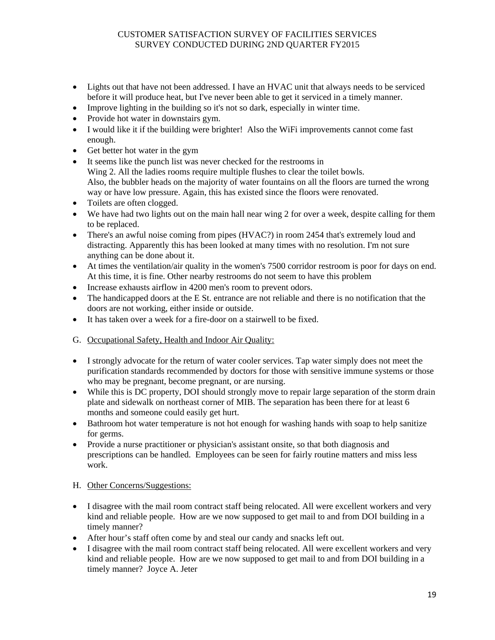- Lights out that have not been addressed. I have an HVAC unit that always needs to be serviced before it will produce heat, but I've never been able to get it serviced in a timely manner.
- Improve lighting in the building so it's not so dark, especially in winter time.
- Provide hot water in downstairs gym.
- I would like it if the building were brighter! Also the WiFi improvements cannot come fast enough.
- Get better hot water in the gym
- It seems like the punch list was never checked for the restrooms in Wing 2. All the ladies rooms require multiple flushes to clear the toilet bowls. Also, the bubbler heads on the majority of water fountains on all the floors are turned the wrong way or have low pressure. Again, this has existed since the floors were renovated.
- Toilets are often clogged.
- We have had two lights out on the main hall near wing 2 for over a week, despite calling for them to be replaced.
- There's an awful noise coming from pipes (HVAC?) in room 2454 that's extremely loud and distracting. Apparently this has been looked at many times with no resolution. I'm not sure anything can be done about it.
- At times the ventilation/air quality in the women's 7500 corridor restroom is poor for days on end. At this time, it is fine. Other nearby restrooms do not seem to have this problem
- Increase exhausts airflow in 4200 men's room to prevent odors.
- The handicapped doors at the E St. entrance are not reliable and there is no notification that the doors are not working, either inside or outside.
- It has taken over a week for a fire-door on a stairwell to be fixed.
- G. Occupational Safety, Health and Indoor Air Quality:
- I strongly advocate for the return of water cooler services. Tap water simply does not meet the purification standards recommended by doctors for those with sensitive immune systems or those who may be pregnant, become pregnant, or are nursing.
- While this is DC property, DOI should strongly move to repair large separation of the storm drain plate and sidewalk on northeast corner of MIB. The separation has been there for at least 6 months and someone could easily get hurt.
- Bathroom hot water temperature is not hot enough for washing hands with soap to help sanitize for germs.
- Provide a nurse practitioner or physician's assistant onsite, so that both diagnosis and prescriptions can be handled. Employees can be seen for fairly routine matters and miss less work.

#### H. Other Concerns/Suggestions:

- I disagree with the mail room contract staff being relocated. All were excellent workers and very kind and reliable people. How are we now supposed to get mail to and from DOI building in a timely manner?
- After hour's staff often come by and steal our candy and snacks left out.
- I disagree with the mail room contract staff being relocated. All were excellent workers and very kind and reliable people. How are we now supposed to get mail to and from DOI building in a timely manner? Joyce A. Jeter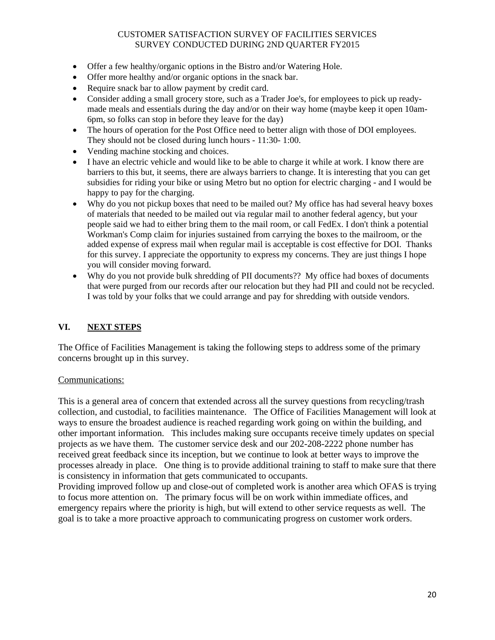- Offer a few healthy/organic options in the Bistro and/or Watering Hole.
- Offer more healthy and/or organic options in the snack bar.
- Require snack bar to allow payment by credit card.
- Consider adding a small grocery store, such as a Trader Joe's, for employees to pick up readymade meals and essentials during the day and/or on their way home (maybe keep it open 10am-6pm, so folks can stop in before they leave for the day)
- The hours of operation for the Post Office need to better align with those of DOI employees. They should not be closed during lunch hours - 11:30- 1:00.
- Vending machine stocking and choices.
- I have an electric vehicle and would like to be able to charge it while at work. I know there are barriers to this but, it seems, there are always barriers to change. It is interesting that you can get subsidies for riding your bike or using Metro but no option for electric charging - and I would be happy to pay for the charging.
- Why do you not pickup boxes that need to be mailed out? My office has had several heavy boxes of materials that needed to be mailed out via regular mail to another federal agency, but your people said we had to either bring them to the mail room, or call FedEx. I don't think a potential Workman's Comp claim for injuries sustained from carrying the boxes to the mailroom, or the added expense of express mail when regular mail is acceptable is cost effective for DOI. Thanks for this survey. I appreciate the opportunity to express my concerns. They are just things I hope you will consider moving forward.
- Why do you not provide bulk shredding of PII documents?? My office had boxes of documents that were purged from our records after our relocation but they had PII and could not be recycled. I was told by your folks that we could arrange and pay for shredding with outside vendors.

## **VI. NEXT STEPS**

The Office of Facilities Management is taking the following steps to address some of the primary concerns brought up in this survey.

## Communications:

This is a general area of concern that extended across all the survey questions from recycling/trash collection, and custodial, to facilities maintenance. The Office of Facilities Management will look at ways to ensure the broadest audience is reached regarding work going on within the building, and other important information. This includes making sure occupants receive timely updates on special projects as we have them. The customer service desk and our 202-208-2222 phone number has received great feedback since its inception, but we continue to look at better ways to improve the processes already in place. One thing is to provide additional training to staff to make sure that there is consistency in information that gets communicated to occupants.

Providing improved follow up and close-out of completed work is another area which OFAS is trying to focus more attention on. The primary focus will be on work within immediate offices, and emergency repairs where the priority is high, but will extend to other service requests as well. The goal is to take a more proactive approach to communicating progress on customer work orders.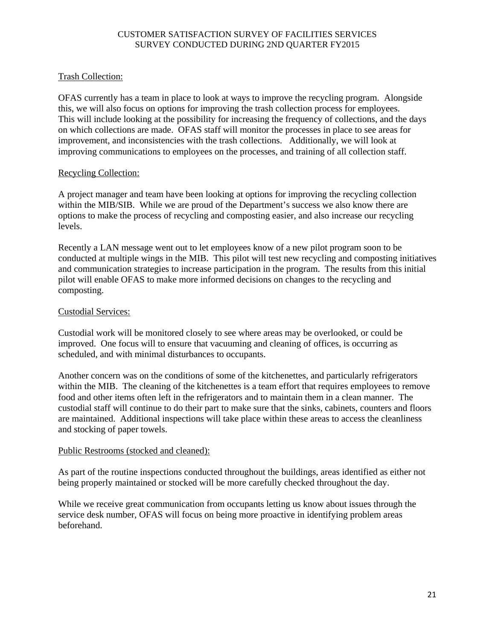## Trash Collection:

OFAS currently has a team in place to look at ways to improve the recycling program. Alongside this, we will also focus on options for improving the trash collection process for employees. This will include looking at the possibility for increasing the frequency of collections, and the days on which collections are made. OFAS staff will monitor the processes in place to see areas for improvement, and inconsistencies with the trash collections. Additionally, we will look at improving communications to employees on the processes, and training of all collection staff.

## Recycling Collection:

A project manager and team have been looking at options for improving the recycling collection within the MIB/SIB. While we are proud of the Department's success we also know there are options to make the process of recycling and composting easier, and also increase our recycling levels.

Recently a LAN message went out to let employees know of a new pilot program soon to be conducted at multiple wings in the MIB. This pilot will test new recycling and composting initiatives and communication strategies to increase participation in the program. The results from this initial pilot will enable OFAS to make more informed decisions on changes to the recycling and composting.

## Custodial Services:

Custodial work will be monitored closely to see where areas may be overlooked, or could be improved. One focus will to ensure that vacuuming and cleaning of offices, is occurring as scheduled, and with minimal disturbances to occupants.

Another concern was on the conditions of some of the kitchenettes, and particularly refrigerators within the MIB. The cleaning of the kitchenettes is a team effort that requires employees to remove food and other items often left in the refrigerators and to maintain them in a clean manner. The custodial staff will continue to do their part to make sure that the sinks, cabinets, counters and floors are maintained. Additional inspections will take place within these areas to access the cleanliness and stocking of paper towels.

## Public Restrooms (stocked and cleaned):

As part of the routine inspections conducted throughout the buildings, areas identified as either not being properly maintained or stocked will be more carefully checked throughout the day.

While we receive great communication from occupants letting us know about issues through the service desk number, OFAS will focus on being more proactive in identifying problem areas beforehand.